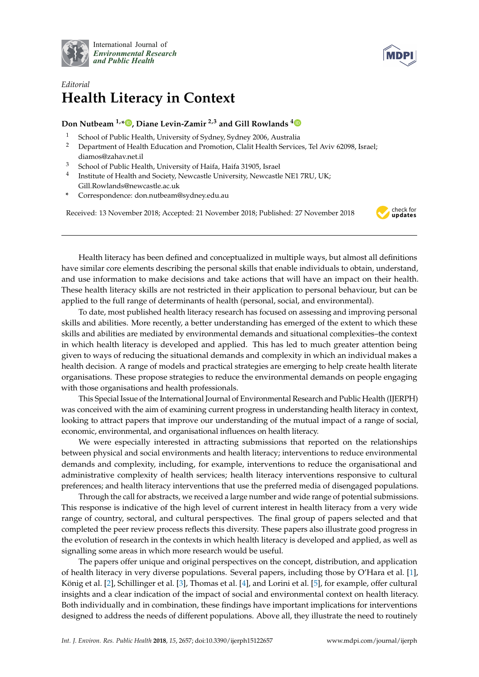



## *Editorial* **Health Literacy in Context**

## **Don Nutbeam 1,[\\*](https://orcid.org/0000-0001-6497-2827) , Diane Levin-Zamir 2,3 and Gill Rowlands [4](https://orcid.org/0000-0001-7388-7771)**

- <sup>1</sup> School of Public Health, University of Sydney, Sydney 2006, Australia<br><sup>2</sup> Department of Health Education and Promotion, Clalit Health Service
- <sup>2</sup> Department of Health Education and Promotion, Clalit Health Services, Tel Aviv 62098, Israel; diamos@zahav.net.il
- <sup>3</sup> School of Public Health, University of Haifa, Haifa 31905, Israel
- 4 Institute of Health and Society, Newcastle University, Newcastle NE1 7RU, UK; Gill.Rowlands@newcastle.ac.uk
- **\*** Correspondence: don.nutbeam@sydney.edu.au

Received: 13 November 2018; Accepted: 21 November 2018; Published: 27 November 2018



Health literacy has been defined and conceptualized in multiple ways, but almost all definitions have similar core elements describing the personal skills that enable individuals to obtain, understand, and use information to make decisions and take actions that will have an impact on their health. These health literacy skills are not restricted in their application to personal behaviour, but can be applied to the full range of determinants of health (personal, social, and environmental).

To date, most published health literacy research has focused on assessing and improving personal skills and abilities. More recently, a better understanding has emerged of the extent to which these skills and abilities are mediated by environmental demands and situational complexities–the context in which health literacy is developed and applied. This has led to much greater attention being given to ways of reducing the situational demands and complexity in which an individual makes a health decision. A range of models and practical strategies are emerging to help create health literate organisations. These propose strategies to reduce the environmental demands on people engaging with those organisations and health professionals.

This Special Issue of the International Journal of Environmental Research and Public Health (IJERPH) was conceived with the aim of examining current progress in understanding health literacy in context, looking to attract papers that improve our understanding of the mutual impact of a range of social, economic, environmental, and organisational influences on health literacy.

We were especially interested in attracting submissions that reported on the relationships between physical and social environments and health literacy; interventions to reduce environmental demands and complexity, including, for example, interventions to reduce the organisational and administrative complexity of health services; health literacy interventions responsive to cultural preferences; and health literacy interventions that use the preferred media of disengaged populations.

Through the call for abstracts, we received a large number and wide range of potential submissions. This response is indicative of the high level of current interest in health literacy from a very wide range of country, sectoral, and cultural perspectives. The final group of papers selected and that completed the peer review process reflects this diversity. These papers also illustrate good progress in the evolution of research in the contexts in which health literacy is developed and applied, as well as signalling some areas in which more research would be useful.

The papers offer unique and original perspectives on the concept, distribution, and application of health literacy in very diverse populations. Several papers, including those by O'Hara et al. [\[1\]](#page-1-0), König et al. [\[2\]](#page-1-1), Schillinger et al. [\[3\]](#page-1-2), Thomas et al. [\[4\]](#page-1-3), and Lorini et al. [\[5\]](#page-1-4), for example, offer cultural insights and a clear indication of the impact of social and environmental context on health literacy. Both individually and in combination, these findings have important implications for interventions designed to address the needs of different populations. Above all, they illustrate the need to routinely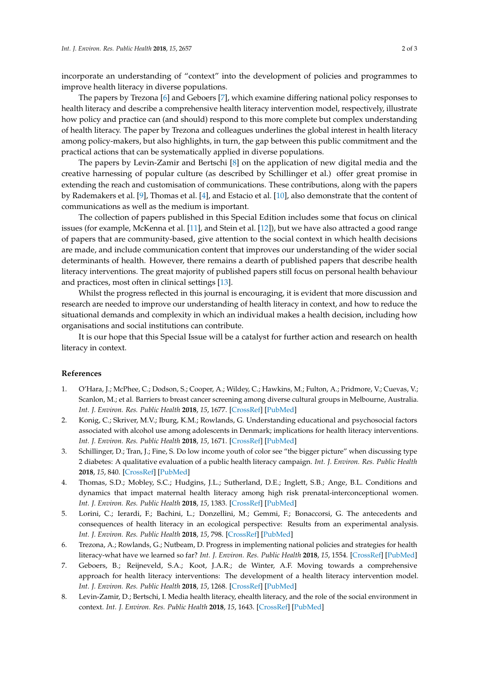incorporate an understanding of "context" into the development of policies and programmes to improve health literacy in diverse populations.

The papers by Trezona [\[6\]](#page-1-5) and Geboers [\[7\]](#page-1-6), which examine differing national policy responses to health literacy and describe a comprehensive health literacy intervention model, respectively, illustrate how policy and practice can (and should) respond to this more complete but complex understanding of health literacy. The paper by Trezona and colleagues underlines the global interest in health literacy among policy-makers, but also highlights, in turn, the gap between this public commitment and the practical actions that can be systematically applied in diverse populations.

The papers by Levin-Zamir and Bertschi [\[8\]](#page-1-7) on the application of new digital media and the creative harnessing of popular culture (as described by Schillinger et al.) offer great promise in extending the reach and customisation of communications. These contributions, along with the papers by Rademakers et al. [\[9\]](#page-2-0), Thomas et al. [\[4\]](#page-1-3), and Estacio et al. [\[10\]](#page-2-1), also demonstrate that the content of communications as well as the medium is important.

The collection of papers published in this Special Edition includes some that focus on clinical issues (for example, McKenna et al. [\[11\]](#page-2-2), and Stein et al. [\[12\]](#page-2-3)), but we have also attracted a good range of papers that are community-based, give attention to the social context in which health decisions are made, and include communication content that improves our understanding of the wider social determinants of health. However, there remains a dearth of published papers that describe health literacy interventions. The great majority of published papers still focus on personal health behaviour and practices, most often in clinical settings [\[13\]](#page-2-4).

Whilst the progress reflected in this journal is encouraging, it is evident that more discussion and research are needed to improve our understanding of health literacy in context, and how to reduce the situational demands and complexity in which an individual makes a health decision, including how organisations and social institutions can contribute.

It is our hope that this Special Issue will be a catalyst for further action and research on health literacy in context.

## **References**

- <span id="page-1-0"></span>1. O'Hara, J.; McPhee, C.; Dodson, S.; Cooper, A.; Wildey, C.; Hawkins, M.; Fulton, A.; Pridmore, V.; Cuevas, V.; Scanlon, M.; et al. Barriers to breast cancer screening among diverse cultural groups in Melbourne, Australia. *Int. J. Environ. Res. Public Health* **2018**, *15*, 1677. [\[CrossRef\]](http://dx.doi.org/10.3390/ijerph15081677) [\[PubMed\]](http://www.ncbi.nlm.nih.gov/pubmed/30087259)
- <span id="page-1-1"></span>2. Konig, C.; Skriver, M.V.; Iburg, K.M.; Rowlands, G. Understanding educational and psychosocial factors associated with alcohol use among adolescents in Denmark; implications for health literacy interventions. *Int. J. Environ. Res. Public Health* **2018**, *15*, 1671. [\[CrossRef\]](http://dx.doi.org/10.3390/ijerph15081671) [\[PubMed\]](http://www.ncbi.nlm.nih.gov/pubmed/30082674)
- <span id="page-1-2"></span>3. Schillinger, D.; Tran, J.; Fine, S. Do low income youth of color see "the bigger picture" when discussing type 2 diabetes: A qualitative evaluation of a public health literacy campaign. *Int. J. Environ. Res. Public Health* **2018**, *15*, 840. [\[CrossRef\]](http://dx.doi.org/10.3390/ijerph15050840) [\[PubMed\]](http://www.ncbi.nlm.nih.gov/pubmed/29695114)
- <span id="page-1-3"></span>4. Thomas, S.D.; Mobley, S.C.; Hudgins, J.L.; Sutherland, D.E.; Inglett, S.B.; Ange, B.L. Conditions and dynamics that impact maternal health literacy among high risk prenatal-interconceptional women. *Int. J. Environ. Res. Public Health* **2018**, *15*, 1383. [\[CrossRef\]](http://dx.doi.org/10.3390/ijerph15071383) [\[PubMed\]](http://www.ncbi.nlm.nih.gov/pubmed/30004397)
- <span id="page-1-4"></span>5. Lorini, C.; Ierardi, F.; Bachini, L.; Donzellini, M.; Gemmi, F.; Bonaccorsi, G. The antecedents and consequences of health literacy in an ecological perspective: Results from an experimental analysis. *Int. J. Environ. Res. Public Health* **2018**, *15*, 798. [\[CrossRef\]](http://dx.doi.org/10.3390/ijerph15040798) [\[PubMed\]](http://www.ncbi.nlm.nih.gov/pubmed/29671791)
- <span id="page-1-5"></span>6. Trezona, A.; Rowlands, G.; Nutbeam, D. Progress in implementing national policies and strategies for health literacy-what have we learned so far? *Int. J. Environ. Res. Public Health* **2018**, *15*, 1554. [\[CrossRef\]](http://dx.doi.org/10.3390/ijerph15071554) [\[PubMed\]](http://www.ncbi.nlm.nih.gov/pubmed/30041427)
- <span id="page-1-6"></span>7. Geboers, B.; Reijneveld, S.A.; Koot, J.A.R.; de Winter, A.F. Moving towards a comprehensive approach for health literacy interventions: The development of a health literacy intervention model. *Int. J. Environ. Res. Public Health* **2018**, *15*, 1268. [\[CrossRef\]](http://dx.doi.org/10.3390/ijerph15061268) [\[PubMed\]](http://www.ncbi.nlm.nih.gov/pubmed/29914065)
- <span id="page-1-7"></span>8. Levin-Zamir, D.; Bertschi, I. Media health literacy, ehealth literacy, and the role of the social environment in context. *Int. J. Environ. Res. Public Health* **2018**, *15*, 1643. [\[CrossRef\]](http://dx.doi.org/10.3390/ijerph15081643) [\[PubMed\]](http://www.ncbi.nlm.nih.gov/pubmed/30081465)